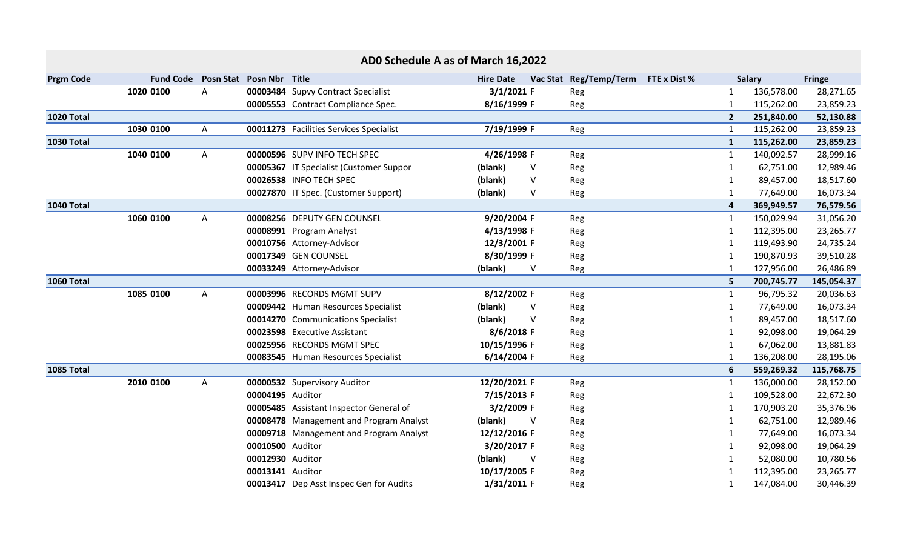| ADO Schedule A as of March 16,2022 |                  |              |                          |                                         |                  |        |                        |              |              |               |               |
|------------------------------------|------------------|--------------|--------------------------|-----------------------------------------|------------------|--------|------------------------|--------------|--------------|---------------|---------------|
| <b>Prgm Code</b>                   | <b>Fund Code</b> |              | Posn Stat Posn Nbr Title |                                         | <b>Hire Date</b> |        | Vac Stat Reg/Temp/Term | FTE x Dist % |              | <b>Salary</b> | <b>Fringe</b> |
|                                    | 1020 0100        | A            |                          | 00003484 Supvy Contract Specialist      | $3/1/2021$ F     |        | Reg                    |              | 1            | 136,578.00    | 28,271.65     |
|                                    |                  |              |                          | 00005553 Contract Compliance Spec.      | 8/16/1999 F      |        | Reg                    |              | 1            | 115,262.00    | 23,859.23     |
| 1020 Total                         |                  |              |                          |                                         |                  |        |                        |              | $2^{\circ}$  | 251,840.00    | 52,130.88     |
|                                    | 1030 0100        | A            |                          | 00011273 Facilities Services Specialist | 7/19/1999 F      |        | Reg                    |              | 1            | 115,262.00    | 23,859.23     |
| <b>1030 Total</b>                  |                  |              |                          |                                         |                  |        |                        |              | $\mathbf{1}$ | 115,262.00    | 23,859.23     |
|                                    | 1040 0100        | $\mathsf{A}$ |                          | 00000596 SUPV INFO TECH SPEC            | 4/26/1998 F      |        | Reg                    |              | 1            | 140,092.57    | 28,999.16     |
|                                    |                  |              |                          | 00005367 IT Specialist (Customer Suppor | (blank)          | V      | Reg                    |              | 1            | 62,751.00     | 12,989.46     |
|                                    |                  |              |                          | 00026538 INFO TECH SPEC                 | (blank)          | $\vee$ | Reg                    |              | $\mathbf{1}$ | 89,457.00     | 18,517.60     |
|                                    |                  |              |                          | 00027870 IT Spec. (Customer Support)    | (blank)          | V      | Reg                    |              | $\mathbf{1}$ | 77,649.00     | 16,073.34     |
| 1040 Total                         |                  |              |                          |                                         |                  |        |                        |              | 4            | 369,949.57    | 76,579.56     |
|                                    | 1060 0100        | A            |                          | 00008256 DEPUTY GEN COUNSEL             | 9/20/2004 F      |        | Reg                    |              | $\mathbf{1}$ | 150,029.94    | 31,056.20     |
|                                    |                  |              |                          | 00008991 Program Analyst                | 4/13/1998 F      |        | Reg                    |              | 1            | 112,395.00    | 23,265.77     |
|                                    |                  |              |                          | 00010756 Attorney-Advisor               | 12/3/2001 F      |        | Reg                    |              |              | 119,493.90    | 24,735.24     |
|                                    |                  |              |                          | 00017349 GEN COUNSEL                    | 8/30/1999 F      |        | Reg                    |              |              | 190,870.93    | 39,510.28     |
|                                    |                  |              |                          | 00033249 Attorney-Advisor               | (blank)          | V      | Reg                    |              |              | 127,956.00    | 26,486.89     |
| 1060 Total                         |                  |              |                          |                                         |                  |        |                        |              | 5            | 700,745.77    | 145,054.37    |
|                                    | 1085 0100        | A            |                          | 00003996 RECORDS MGMT SUPV              | 8/12/2002 F      |        | Reg                    |              | 1            | 96,795.32     | 20,036.63     |
|                                    |                  |              |                          | 00009442 Human Resources Specialist     | (blank)          | V      | Reg                    |              | 1            | 77,649.00     | 16,073.34     |
|                                    |                  |              |                          | 00014270 Communications Specialist      | (blank)          | $\vee$ | Reg                    |              | $\mathbf{1}$ | 89,457.00     | 18,517.60     |
|                                    |                  |              |                          | 00023598 Executive Assistant            | 8/6/2018 F       |        | Reg                    |              | $\mathbf{1}$ | 92,098.00     | 19,064.29     |
|                                    |                  |              |                          | 00025956 RECORDS MGMT SPEC              | 10/15/1996 F     |        | Reg                    |              | 1            | 67,062.00     | 13,881.83     |
|                                    |                  |              |                          | 00083545 Human Resources Specialist     | 6/14/2004 F      |        | Reg                    |              |              | 136,208.00    | 28,195.06     |
| 1085 Total                         |                  |              |                          |                                         |                  |        |                        |              | 6            | 559,269.32    | 115,768.75    |
|                                    | 2010 0100        | A            |                          | 00000532 Supervisory Auditor            | 12/20/2021 F     |        | Reg                    |              | $\mathbf{1}$ | 136,000.00    | 28,152.00     |
|                                    |                  |              | 00004195 Auditor         |                                         | 7/15/2013 F      |        | Reg                    |              | 1            | 109,528.00    | 22,672.30     |
|                                    |                  |              |                          | 00005485 Assistant Inspector General of | 3/2/2009 F       |        | Reg                    |              | 1            | 170,903.20    | 35,376.96     |
|                                    |                  |              |                          | 00008478 Management and Program Analyst | (blank)          | $\vee$ | Reg                    |              |              | 62,751.00     | 12,989.46     |
|                                    |                  |              |                          | 00009718 Management and Program Analyst | 12/12/2016 F     |        | Reg                    |              | 1            | 77,649.00     | 16,073.34     |
|                                    |                  |              | 00010500 Auditor         |                                         | 3/20/2017 F      |        | Reg                    |              | 1            | 92,098.00     | 19,064.29     |
|                                    |                  |              | 00012930 Auditor         |                                         | (blank)          | $\vee$ | Reg                    |              |              | 52,080.00     | 10,780.56     |
|                                    |                  |              | 00013141 Auditor         |                                         | 10/17/2005 F     |        | Reg                    |              |              | 112,395.00    | 23,265.77     |
|                                    |                  |              |                          | 00013417 Dep Asst Inspec Gen for Audits | 1/31/2011 F      |        | Reg                    |              | 1            | 147,084.00    | 30,446.39     |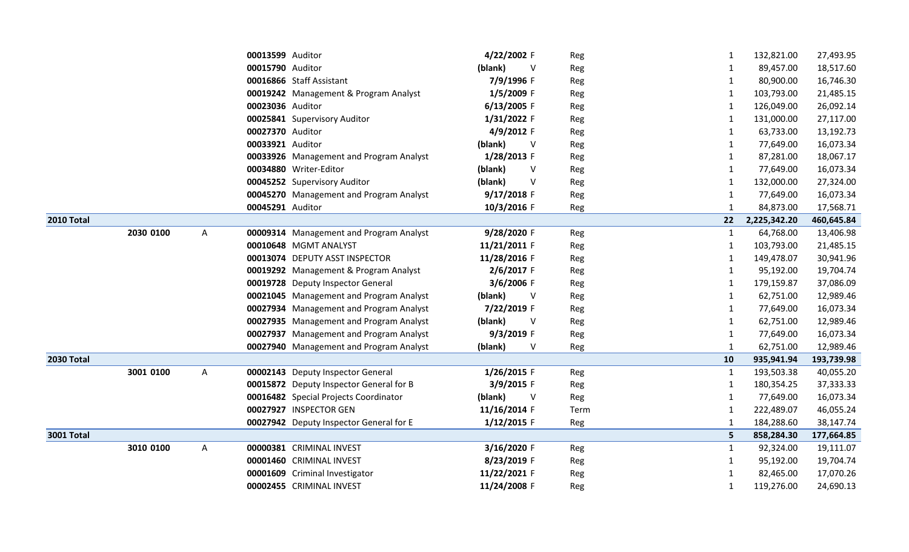|                   |           |   | 00013599 Auditor |                                         | 4/22/2002 F       | Reg  | 1            | 132,821.00   | 27,493.95  |
|-------------------|-----------|---|------------------|-----------------------------------------|-------------------|------|--------------|--------------|------------|
|                   |           |   | 00015790 Auditor |                                         | (blank)<br>-V     | Reg  | 1            | 89,457.00    | 18,517.60  |
|                   |           |   |                  | 00016866 Staff Assistant                | 7/9/1996 F        | Reg  | 1            | 80,900.00    | 16,746.30  |
|                   |           |   |                  | 00019242 Management & Program Analyst   | 1/5/2009 F        | Reg  | 1            | 103,793.00   | 21,485.15  |
|                   |           |   | 00023036 Auditor |                                         | 6/13/2005 F       | Reg  | 1            | 126,049.00   | 26,092.14  |
|                   |           |   |                  | 00025841 Supervisory Auditor            | 1/31/2022 F       | Reg  | 1            | 131,000.00   | 27,117.00  |
|                   |           |   | 00027370 Auditor |                                         | 4/9/2012 F        | Reg  |              | 63,733.00    | 13,192.73  |
|                   |           |   | 00033921 Auditor |                                         | (blank)<br>$\vee$ | Reg  | 1            | 77,649.00    | 16,073.34  |
|                   |           |   |                  | 00033926 Management and Program Analyst | 1/28/2013 F       | Reg  | 1            | 87,281.00    | 18,067.17  |
|                   |           |   |                  | 00034880 Writer-Editor                  | (blank)<br>V      | Reg  | 1            | 77,649.00    | 16,073.34  |
|                   |           |   |                  | 00045252 Supervisory Auditor            | (blank)<br>V      | Reg  |              | 132,000.00   | 27,324.00  |
|                   |           |   |                  | 00045270 Management and Program Analyst | 9/17/2018 F       | Reg  | 1            | 77,649.00    | 16,073.34  |
|                   |           |   | 00045291 Auditor |                                         | 10/3/2016 F       | Reg  | $\mathbf{1}$ | 84,873.00    | 17,568.71  |
| 2010 Total        |           |   |                  |                                         |                   |      | 22           | 2,225,342.20 | 460,645.84 |
|                   | 2030 0100 | A |                  | 00009314 Management and Program Analyst | 9/28/2020 F       | Reg  | 1            | 64,768.00    | 13,406.98  |
|                   |           |   |                  | 00010648 MGMT ANALYST                   | 11/21/2011 F      | Reg  | 1            | 103,793.00   | 21,485.15  |
|                   |           |   |                  | 00013074 DEPUTY ASST INSPECTOR          | 11/28/2016 F      | Reg  | 1            | 149,478.07   | 30,941.96  |
|                   |           |   |                  | 00019292 Management & Program Analyst   | 2/6/2017 F        | Reg  |              | 95,192.00    | 19,704.74  |
|                   |           |   |                  | 00019728 Deputy Inspector General       | 3/6/2006 F        | Reg  | 1            | 179,159.87   | 37,086.09  |
|                   |           |   |                  | 00021045 Management and Program Analyst | (blank)<br>V      | Reg  | 1            | 62,751.00    | 12,989.46  |
|                   |           |   |                  | 00027934 Management and Program Analyst | 7/22/2019 F       | Reg  | 1            | 77,649.00    | 16,073.34  |
|                   |           |   |                  | 00027935 Management and Program Analyst | (blank)<br>V      | Reg  | $\mathbf{1}$ | 62,751.00    | 12,989.46  |
|                   |           |   |                  | 00027937 Management and Program Analyst | 9/3/2019 F        | Reg  | 1            | 77,649.00    | 16,073.34  |
|                   |           |   |                  | 00027940 Management and Program Analyst | (blank)<br>V      | Reg  | 1            | 62,751.00    | 12,989.46  |
| <b>2030 Total</b> |           |   |                  |                                         |                   |      | 10           | 935,941.94   | 193,739.98 |
|                   | 3001 0100 | A |                  | 00002143 Deputy Inspector General       | 1/26/2015 F       | Reg  | $\mathbf{1}$ | 193,503.38   | 40,055.20  |
|                   |           |   |                  | 00015872 Deputy Inspector General for B | 3/9/2015 F        | Reg  | 1            | 180,354.25   | 37,333.33  |
|                   |           |   |                  | 00016482 Special Projects Coordinator   | (blank)<br>V      | Reg  | 1            | 77,649.00    | 16,073.34  |
|                   |           |   |                  | 00027927 INSPECTOR GEN                  | 11/16/2014 F      | Term |              | 222,489.07   | 46,055.24  |
|                   |           |   |                  | 00027942 Deputy Inspector General for E | $1/12/2015$ F     | Reg  |              | 184,288.60   | 38,147.74  |
| <b>3001 Total</b> |           |   |                  |                                         |                   |      | 5            | 858,284.30   | 177,664.85 |
|                   | 3010 0100 | A |                  | 00000381 CRIMINAL INVEST                | 3/16/2020 F       | Reg  | $\mathbf{1}$ | 92,324.00    | 19,111.07  |
|                   |           |   |                  | 00001460 CRIMINAL INVEST                | 8/23/2019 F       | Reg  | 1            | 95,192.00    | 19,704.74  |
|                   |           |   |                  | 00001609 Criminal Investigator          | 11/22/2021 F      | Reg  | 1            | 82,465.00    | 17,070.26  |
|                   |           |   |                  | 00002455 CRIMINAL INVEST                | 11/24/2008 F      | Reg  | 1            | 119,276.00   | 24,690.13  |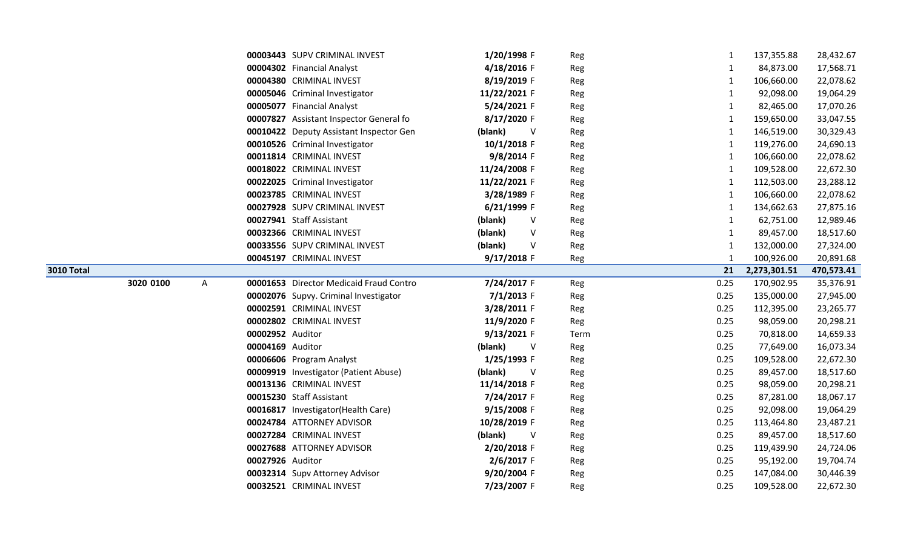|                   |           |   |                  | 00003443 SUPV CRIMINAL INVEST           | 1/20/1998 F  |        | Reg  | 1            | 137,355.88   | 28,432.67  |
|-------------------|-----------|---|------------------|-----------------------------------------|--------------|--------|------|--------------|--------------|------------|
|                   |           |   |                  | 00004302 Financial Analyst              | 4/18/2016 F  |        | Reg  | 1            | 84,873.00    | 17,568.71  |
|                   |           |   |                  | 00004380 CRIMINAL INVEST                | 8/19/2019 F  |        | Reg  | $\mathbf{1}$ | 106,660.00   | 22,078.62  |
|                   |           |   |                  | 00005046 Criminal Investigator          | 11/22/2021 F |        | Reg  | 1            | 92,098.00    | 19,064.29  |
|                   |           |   |                  | 00005077 Financial Analyst              | 5/24/2021 F  |        | Reg  | $\mathbf{1}$ | 82,465.00    | 17,070.26  |
|                   |           |   |                  | 00007827 Assistant Inspector General fo | 8/17/2020 F  |        | Reg  | $\mathbf{1}$ | 159,650.00   | 33,047.55  |
|                   |           |   |                  | 00010422 Deputy Assistant Inspector Gen | (blank)      | V      | Reg  | 1            | 146,519.00   | 30,329.43  |
|                   |           |   |                  | 00010526 Criminal Investigator          | 10/1/2018 F  |        | Reg  | 1            | 119,276.00   | 24,690.13  |
|                   |           |   |                  | 00011814 CRIMINAL INVEST                | 9/8/2014 F   |        | Reg  | 1            | 106,660.00   | 22,078.62  |
|                   |           |   |                  | 00018022 CRIMINAL INVEST                | 11/24/2008 F |        | Reg  | 1            | 109,528.00   | 22,672.30  |
|                   |           |   |                  | 00022025 Criminal Investigator          | 11/22/2021 F |        | Reg  | 1            | 112,503.00   | 23,288.12  |
|                   |           |   |                  | 00023785 CRIMINAL INVEST                | 3/28/1989 F  |        | Reg  | 1            | 106,660.00   | 22,078.62  |
|                   |           |   |                  | 00027928 SUPV CRIMINAL INVEST           | 6/21/1999 F  |        | Reg  | 1            | 134,662.63   | 27,875.16  |
|                   |           |   |                  | 00027941 Staff Assistant                | (blank)      | $\vee$ | Reg  | $\mathbf{1}$ | 62,751.00    | 12,989.46  |
|                   |           |   |                  | 00032366 CRIMINAL INVEST                | (blank)      | $\vee$ | Reg  | 1            | 89,457.00    | 18,517.60  |
|                   |           |   |                  | 00033556 SUPV CRIMINAL INVEST           | (blank)      | $\vee$ | Reg  | $\mathbf{1}$ | 132,000.00   | 27,324.00  |
|                   |           |   |                  | 00045197 CRIMINAL INVEST                | 9/17/2018 F  |        | Reg  | $\mathbf{1}$ | 100,926.00   | 20,891.68  |
| <b>3010 Total</b> |           |   |                  |                                         |              |        |      | 21           | 2,273,301.51 | 470,573.41 |
|                   | 3020 0100 | A |                  | 00001653 Director Medicaid Fraud Contro | 7/24/2017 F  |        | Reg  | 0.25         | 170,902.95   | 35,376.91  |
|                   |           |   |                  | 00002076 Supvy. Criminal Investigator   | $7/1/2013$ F |        | Reg  | 0.25         | 135,000.00   | 27,945.00  |
|                   |           |   |                  | 00002591 CRIMINAL INVEST                | 3/28/2011 F  |        | Reg  | 0.25         | 112,395.00   | 23,265.77  |
|                   |           |   |                  | 00002802 CRIMINAL INVEST                | 11/9/2020 F  |        | Reg  | 0.25         | 98,059.00    | 20,298.21  |
|                   |           |   | 00002952 Auditor |                                         | 9/13/2021 F  |        | Term | 0.25         | 70,818.00    | 14,659.33  |
|                   |           |   | 00004169 Auditor |                                         | (blank)      | V      | Reg  | 0.25         | 77,649.00    | 16,073.34  |
|                   |           |   |                  | 00006606 Program Analyst                | 1/25/1993 F  |        | Reg  | 0.25         | 109,528.00   | 22,672.30  |
|                   |           |   |                  | 00009919 Investigator (Patient Abuse)   | (blank)      | V      | Reg  | 0.25         | 89,457.00    | 18,517.60  |
|                   |           |   |                  | 00013136 CRIMINAL INVEST                | 11/14/2018 F |        | Reg  | 0.25         | 98,059.00    | 20,298.21  |
|                   |           |   |                  | 00015230 Staff Assistant                | 7/24/2017 F  |        | Reg  | 0.25         | 87,281.00    | 18,067.17  |
|                   |           |   |                  | 00016817 Investigator(Health Care)      | 9/15/2008 F  |        | Reg  | 0.25         | 92,098.00    | 19,064.29  |
|                   |           |   |                  | 00024784 ATTORNEY ADVISOR               | 10/28/2019 F |        | Reg  | 0.25         | 113,464.80   | 23,487.21  |
|                   |           |   |                  | 00027284 CRIMINAL INVEST                | (blank)      | V      | Reg  | 0.25         | 89,457.00    | 18,517.60  |
|                   |           |   |                  | 00027688 ATTORNEY ADVISOR               | 2/20/2018 F  |        | Reg  | 0.25         | 119,439.90   | 24,724.06  |
|                   |           |   | 00027926 Auditor |                                         | 2/6/2017 F   |        | Reg  | 0.25         | 95,192.00    | 19,704.74  |
|                   |           |   |                  | 00032314 Supv Attorney Advisor          | 9/20/2004 F  |        | Reg  | 0.25         | 147,084.00   | 30,446.39  |
|                   |           |   |                  | 00032521 CRIMINAL INVEST                | 7/23/2007 F  |        | Reg  | 0.25         | 109,528.00   | 22,672.30  |
|                   |           |   |                  |                                         |              |        |      |              |              |            |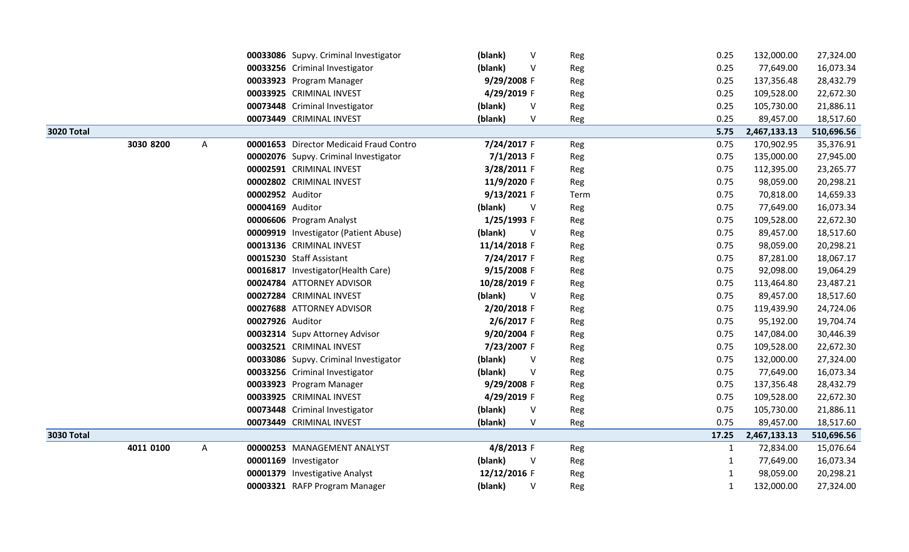|                   |           |   |                  | 00033086 Supvy. Criminal Investigator   | (blank)      | ٧            | Reg  | 0.25         | 132,000.00   | 27,324.00  |
|-------------------|-----------|---|------------------|-----------------------------------------|--------------|--------------|------|--------------|--------------|------------|
|                   |           |   |                  | 00033256 Criminal Investigator          | (blank)      | V            | Reg  | 0.25         | 77,649.00    | 16,073.34  |
|                   |           |   |                  | 00033923 Program Manager                | 9/29/2008 F  |              | Reg  | 0.25         | 137,356.48   | 28,432.79  |
|                   |           |   |                  | 00033925 CRIMINAL INVEST                | 4/29/2019 F  |              | Reg  | 0.25         | 109,528.00   | 22,672.30  |
|                   |           |   |                  | 00073448 Criminal Investigator          | (blank)      | V            | Reg  | 0.25         | 105,730.00   | 21,886.11  |
|                   |           |   |                  | 00073449 CRIMINAL INVEST                | (blank)      | V            | Reg  | 0.25         | 89,457.00    | 18,517.60  |
| <b>3020 Total</b> |           |   |                  |                                         |              |              |      | 5.75         | 2,467,133.13 | 510,696.56 |
|                   | 3030 8200 | A |                  | 00001653 Director Medicaid Fraud Contro | 7/24/2017 F  |              | Reg  | 0.75         | 170,902.95   | 35,376.91  |
|                   |           |   |                  | 00002076 Supvy. Criminal Investigator   | $7/1/2013$ F |              | Reg  | 0.75         | 135,000.00   | 27,945.00  |
|                   |           |   |                  | 00002591 CRIMINAL INVEST                | 3/28/2011 F  |              | Reg  | 0.75         | 112,395.00   | 23,265.77  |
|                   |           |   |                  | 00002802 CRIMINAL INVEST                | 11/9/2020 F  |              | Reg  | 0.75         | 98,059.00    | 20,298.21  |
|                   |           |   | 00002952 Auditor |                                         | 9/13/2021 F  |              | Term | 0.75         | 70,818.00    | 14,659.33  |
|                   |           |   | 00004169 Auditor |                                         | (blank)      | $\vee$       | Reg  | 0.75         | 77,649.00    | 16,073.34  |
|                   |           |   |                  | 00006606 Program Analyst                | 1/25/1993 F  |              | Reg  | 0.75         | 109,528.00   | 22,672.30  |
|                   |           |   |                  | 00009919 Investigator (Patient Abuse)   | (blank)      | $\vee$       | Reg  | 0.75         | 89,457.00    | 18,517.60  |
|                   |           |   |                  | 00013136 CRIMINAL INVEST                | 11/14/2018 F |              | Reg  | 0.75         | 98,059.00    | 20,298.21  |
|                   |           |   |                  | 00015230 Staff Assistant                | 7/24/2017 F  |              | Reg  | 0.75         | 87,281.00    | 18,067.17  |
|                   |           |   |                  | 00016817 Investigator(Health Care)      | 9/15/2008 F  |              | Reg  | 0.75         | 92,098.00    | 19,064.29  |
|                   |           |   |                  | 00024784 ATTORNEY ADVISOR               | 10/28/2019 F |              | Reg  | 0.75         | 113,464.80   | 23,487.21  |
|                   |           |   |                  | 00027284 CRIMINAL INVEST                | (blank)      | <sub>V</sub> | Reg  | 0.75         | 89,457.00    | 18,517.60  |
|                   |           |   |                  | 00027688 ATTORNEY ADVISOR               | 2/20/2018 F  |              | Reg  | 0.75         | 119,439.90   | 24,724.06  |
|                   |           |   | 00027926 Auditor |                                         | 2/6/2017 F   |              | Reg  | 0.75         | 95,192.00    | 19,704.74  |
|                   |           |   |                  | 00032314 Supv Attorney Advisor          | 9/20/2004 F  |              | Reg  | 0.75         | 147,084.00   | 30,446.39  |
|                   |           |   |                  | 00032521 CRIMINAL INVEST                | 7/23/2007 F  |              | Reg  | 0.75         | 109,528.00   | 22,672.30  |
|                   |           |   |                  | 00033086 Supvy. Criminal Investigator   | (blank)      | V            | Reg  | 0.75         | 132,000.00   | 27,324.00  |
|                   |           |   |                  | 00033256 Criminal Investigator          | (blank)      | V            | Reg  | 0.75         | 77,649.00    | 16,073.34  |
|                   |           |   |                  | 00033923 Program Manager                | 9/29/2008 F  |              | Reg  | 0.75         | 137,356.48   | 28,432.79  |
|                   |           |   |                  | 00033925 CRIMINAL INVEST                | 4/29/2019 F  |              | Reg  | 0.75         | 109,528.00   | 22,672.30  |
|                   |           |   |                  | 00073448 Criminal Investigator          | (blank)      | V            | Reg  | 0.75         | 105,730.00   | 21,886.11  |
|                   |           |   |                  | 00073449 CRIMINAL INVEST                | (blank)      | V            | Reg  | 0.75         | 89,457.00    | 18,517.60  |
| <b>3030 Total</b> |           |   |                  |                                         |              |              |      | 17.25        | 2,467,133.13 | 510,696.56 |
|                   | 4011 0100 | A |                  | 00000253 MANAGEMENT ANALYST             | 4/8/2013 F   |              | Reg  | 1            | 72,834.00    | 15,076.64  |
|                   |           |   |                  | 00001169 Investigator                   | (blank)      | V            | Reg  | 1            | 77,649.00    | 16,073.34  |
|                   |           |   |                  | 00001379 Investigative Analyst          | 12/12/2016 F |              | Reg  | 1            | 98,059.00    | 20,298.21  |
|                   |           |   |                  | 00003321 RAFP Program Manager           | (blank)      | V            | Reg  | $\mathbf{1}$ | 132,000.00   | 27,324.00  |